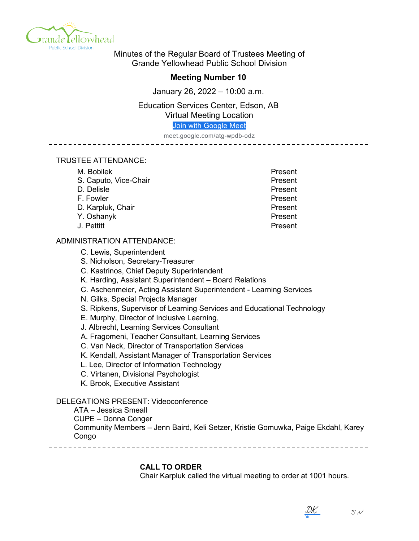

Minutes of the Regular Board of Trustees Meeting of Grande Yellowhead Public School Division

## **Meeting Number 10**

January 26, 2022 – 10:00 a.m.

Education Services Center, Edson, AB Virtual Meeting Location

[Join with Google Meet](https://meet.google.com/atg-wpdb-odz?authuser=0&hs=122)

meet.google.com/atg-wpdb-odz

#### TRUSTEE ATTENDANCE:

| Present |
|---------|
| Present |
| Present |
| Present |
| Present |
| Present |
| Present |
|         |

## ADMINISTRATION ATTENDANCE:

C. Lewis, Superintendent

S. Nicholson, Secretary-Treasurer

C. Kastrinos, Chief Deputy Superintendent

- K. Harding, Assistant Superintendent Board Relations
- C. Aschenmeier, Acting Assistant Superintendent Learning Services
- N. Gilks, Special Projects Manager
- S. Ripkens, Supervisor of Learning Services and Educational Technology
- E. Murphy, Director of Inclusive Learning,
- J. Albrecht, Learning Services Consultant
- A. Fragomeni, Teacher Consultant, Learning Services
- C. Van Neck, Director of Transportation Services
- K. Kendall, Assistant Manager of Transportation Services
- L. Lee, Director of Information Technology
- C. Virtanen, Divisional Psychologist
- K. Brook, Executive Assistant

## DELEGATIONS PRESENT: Videoconference

ATA – Jessica Smeall

CUPE – Donna Conger

Community Members – Jenn Baird, Keli Setzer, Kristie Gomuwka, Paige Ekdahl, Karey Congo

**CALL TO ORDER**

Chair Karpluk called the virtual meeting to order at 1001 hours.

DK [DK](https://na1.documents.adobe.com/verifier?tx=CBJCHBCAABAAwQgvF7bLWNiGFkeodmbK8q-zzEc_l6vQ)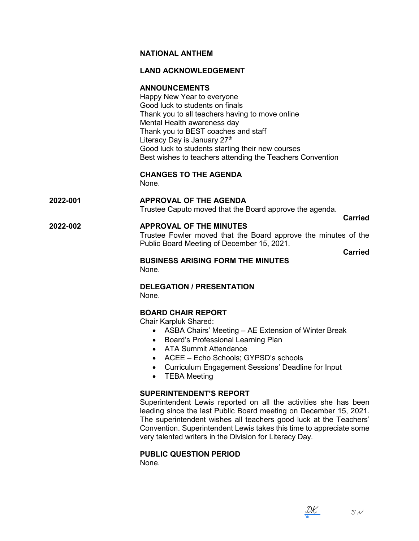## **NATIONAL ANTHEM**

## **LAND ACKNOWLEDGEMENT**

## **ANNOUNCEMENTS**

Happy New Year to everyone Good luck to students on finals Thank you to all teachers having to move online Mental Health awareness day Thank you to BEST coaches and staff Literacy Day is January 27<sup>th</sup> Good luck to students starting their new courses Best wishes to teachers attending the Teachers Convention

#### **CHANGES TO THE AGENDA** None.

# **2022-001 APPROVAL OF THE AGENDA**

Trustee Caputo moved that the Board approve the agenda.

**Carried**

## **2022-002 APPROVAL OF THE MINUTES**

Trustee Fowler moved that the Board approve the minutes of the Public Board Meeting of December 15, 2021.

**Carried**

## **BUSINESS ARISING FORM THE MINUTES** None.

#### **DELEGATION / PRESENTATION** None.

## **BOARD CHAIR REPORT**

Chair Karpluk Shared:

- ASBA Chairs' Meeting AE Extension of Winter Break
- Board's Professional Learning Plan
- ATA Summit Attendance
- ACEE Echo Schools; GYPSD's schools
- Curriculum Engagement Sessions' Deadline for Input
- TEBA Meeting

## **SUPERINTENDENT'S REPORT**

Superintendent Lewis reported on all the activities she has been leading since the last Public Board meeting on December 15, 2021. The superintendent wishes all teachers good luck at the Teachers' Convention. Superintendent Lewis takes this time to appreciate some very talented writers in the Division for Literacy Day.

## **PUBLIC QUESTION PERIOD**

None.

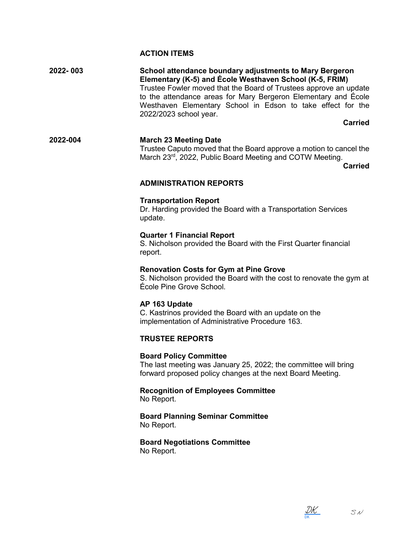## **ACTION ITEMS**

**2022- 003 School attendance boundary adjustments to Mary Bergeron Elementary (K-5) and École Westhaven School (K-5, FRIM)** Trustee Fowler moved that the Board of Trustees approve an update to the attendance areas for Mary Bergeron Elementary and École Westhaven Elementary School in Edson to take effect for the 2022/2023 school year.

**Carried**

## **2022-004 March 23 Meeting Date** Trustee Caputo moved that the Board approve a motion to cancel the March 23rd, 2022, Public Board Meeting and COTW Meeting.

**Carried**

#### **ADMINISTRATION REPORTS**

#### **Transportation Report**

Dr. Harding provided the Board with a Transportation Services update.

#### **Quarter 1 Financial Report**

S. Nicholson provided the Board with the First Quarter financial report.

#### **Renovation Costs for Gym at Pine Grove**

S. Nicholson provided the Board with the cost to renovate the gym at École Pine Grove School.

#### **AP 163 Update**

C. Kastrinos provided the Board with an update on the implementation of Administrative Procedure 163.

## **TRUSTEE REPORTS**

#### **Board Policy Committee**

The last meeting was January 25, 2022; the committee will bring forward proposed policy changes at the next Board Meeting.

**Recognition of Employees Committee** No Report.

#### **Board Planning Seminar Committee** No Report.

**Board Negotiations Committee** No Report.